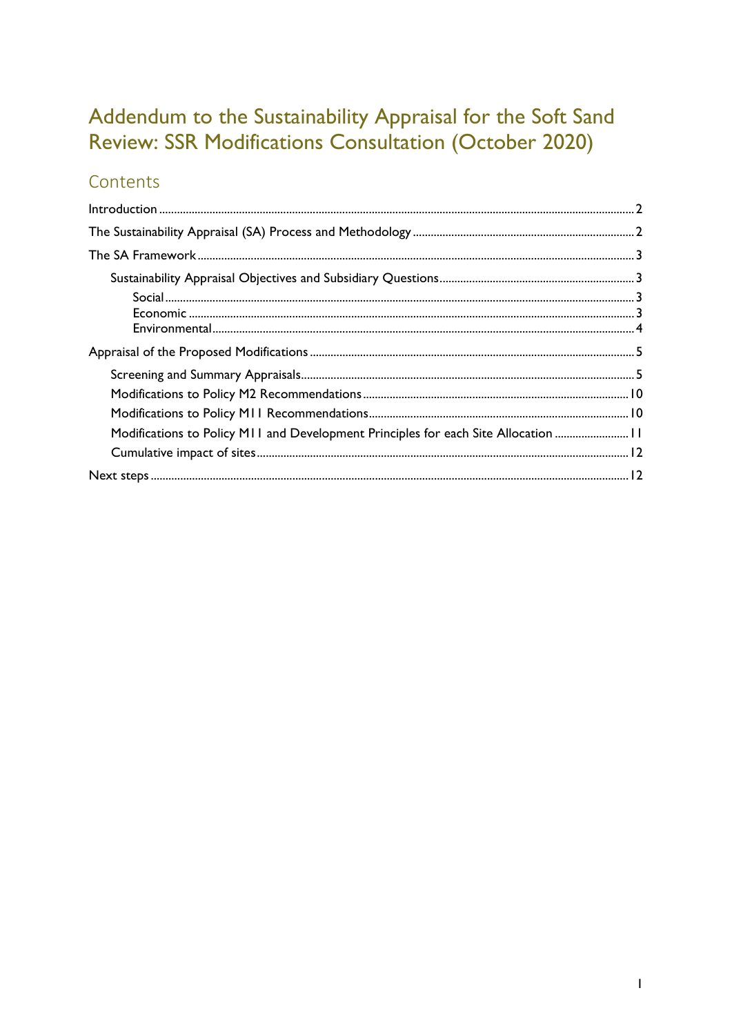# Addendum to the Sustainability Appraisal for the Soft Sand Review: SSR Modifications Consultation (October 2020)

## Contents

| Modifications to Policy M11 and Development Principles for each Site Allocation  11 |  |
|-------------------------------------------------------------------------------------|--|
|                                                                                     |  |
|                                                                                     |  |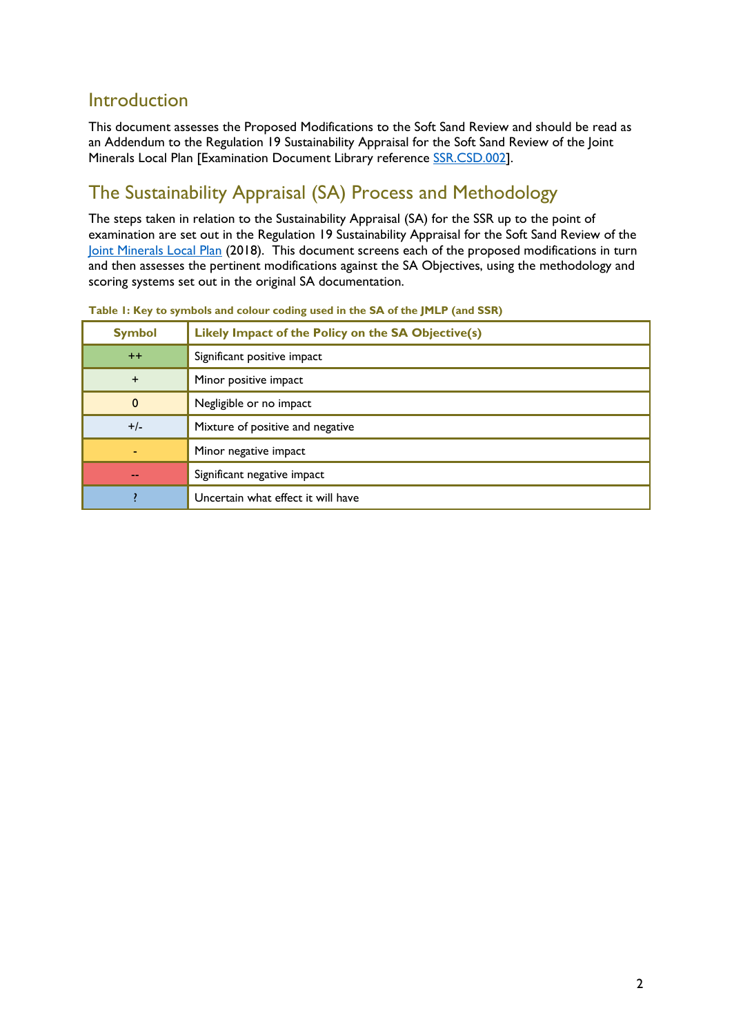### <span id="page-1-0"></span>Introduction

This document assesses the Proposed Modifications to the Soft Sand Review and should be read as an Addendum to the Regulation 19 Sustainability Appraisal for the Soft Sand Review of the Joint Minerals Local Plan [Examination Document Library reference [SSR.CSD.002\]](http://www2.westsussex.gov.uk/ssr/ssr_csd_002.pdf).

## <span id="page-1-1"></span>The Sustainability Appraisal (SA) Process and Methodology

The steps taken in relation to the Sustainability Appraisal (SA) for the SSR up to the point of examination are set out in the Regulation 19 Sustainability Appraisal for the Soft Sand Review of the [Joint Minerals Local Plan](https://www.westsussex.gov.uk/media/11736/mlp_adoption.pdf) (2018). This document screens each of the proposed modifications in turn and then assesses the pertinent modifications against the SA Objectives, using the methodology and scoring systems set out in the original SA documentation.

| <b>Symbol</b> | Likely Impact of the Policy on the SA Objective(s) |
|---------------|----------------------------------------------------|
| $++$          | Significant positive impact                        |
| $+$           | Minor positive impact                              |
| $\mathbf{0}$  | Negligible or no impact                            |
| $+/-$         | Mixture of positive and negative                   |
|               | Minor negative impact                              |
| $-1$          | Significant negative impact                        |
|               | Uncertain what effect it will have                 |

<span id="page-1-2"></span>

|  | Table 1: Key to symbols and colour coding used in the SA of the JMLP (and SSR) |  |
|--|--------------------------------------------------------------------------------|--|
|  |                                                                                |  |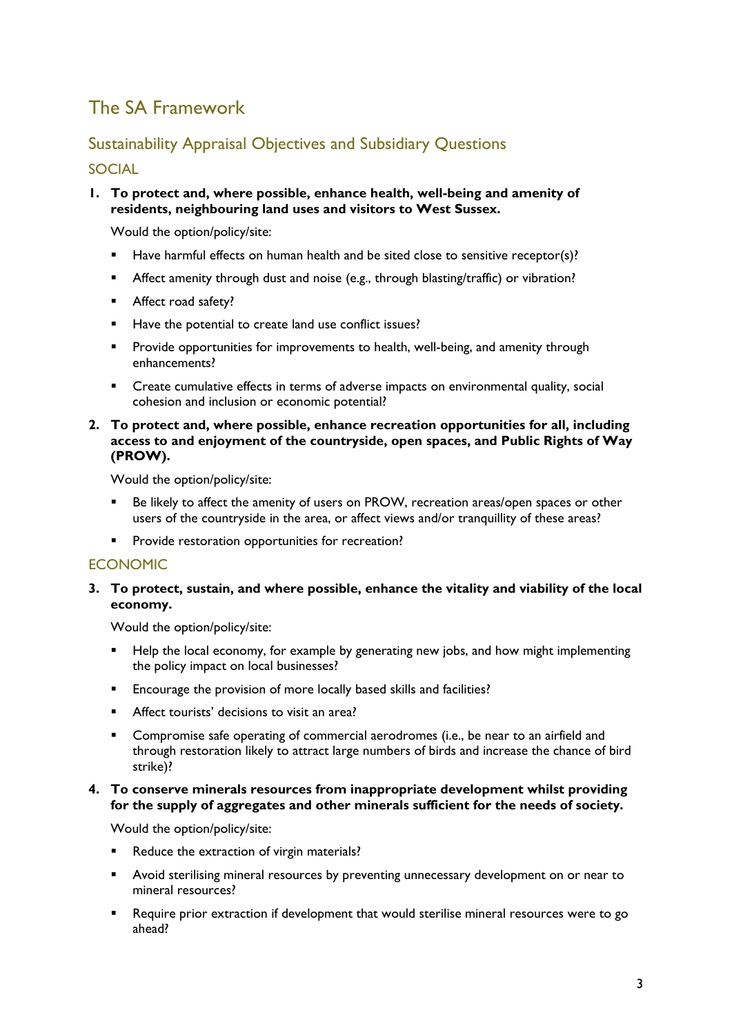## <span id="page-2-0"></span>The SA Framework

### <span id="page-2-1"></span>Sustainability Appraisal Objectives and Subsidiary Questions

#### <span id="page-2-2"></span>SOCIAL

**1. To protect and, where possible, enhance health, well-being and amenity of residents, neighbouring land uses and visitors to West Sussex.**

Would the option/policy/site:

- Have harmful effects on human health and be sited close to sensitive receptor(s)?
- Affect amenity through dust and noise (e.g., through blasting/traffic) or vibration?
- **Affect road safety?**
- Have the potential to create land use conflict issues?
- Provide opportunities for improvements to health, well-being, and amenity through enhancements?
- Create cumulative effects in terms of adverse impacts on environmental quality, social cohesion and inclusion or economic potential?
- **2. To protect and, where possible, enhance recreation opportunities for all, including access to and enjoyment of the countryside, open spaces, and Public Rights of Way (PROW).**

Would the option/policy/site:

- **Be likely to affect the amenity of users on PROW, recreation areas/open spaces or other** users of the countryside in the area, or affect views and/or tranquillity of these areas?
- **Provide restoration opportunities for recreation?**

#### <span id="page-2-3"></span>ECONOMIC

#### **3. To protect, sustain, and where possible, enhance the vitality and viability of the local economy.**

Would the option/policy/site:

- **Help the local economy, for example by generating new jobs, and how might implementing** the policy impact on local businesses?
- **Encourage the provision of more locally based skills and facilities?**
- Affect tourists' decisions to visit an area?
- Compromise safe operating of commercial aerodromes (i.e., be near to an airfield and through restoration likely to attract large numbers of birds and increase the chance of bird strike)?

#### **4. To conserve minerals resources from inappropriate development whilst providing for the supply of aggregates and other minerals sufficient for the needs of society.**

Would the option/policy/site:

- Reduce the extraction of virgin materials?
- Avoid sterilising mineral resources by preventing unnecessary development on or near to mineral resources?
- Require prior extraction if development that would sterilise mineral resources were to go ahead?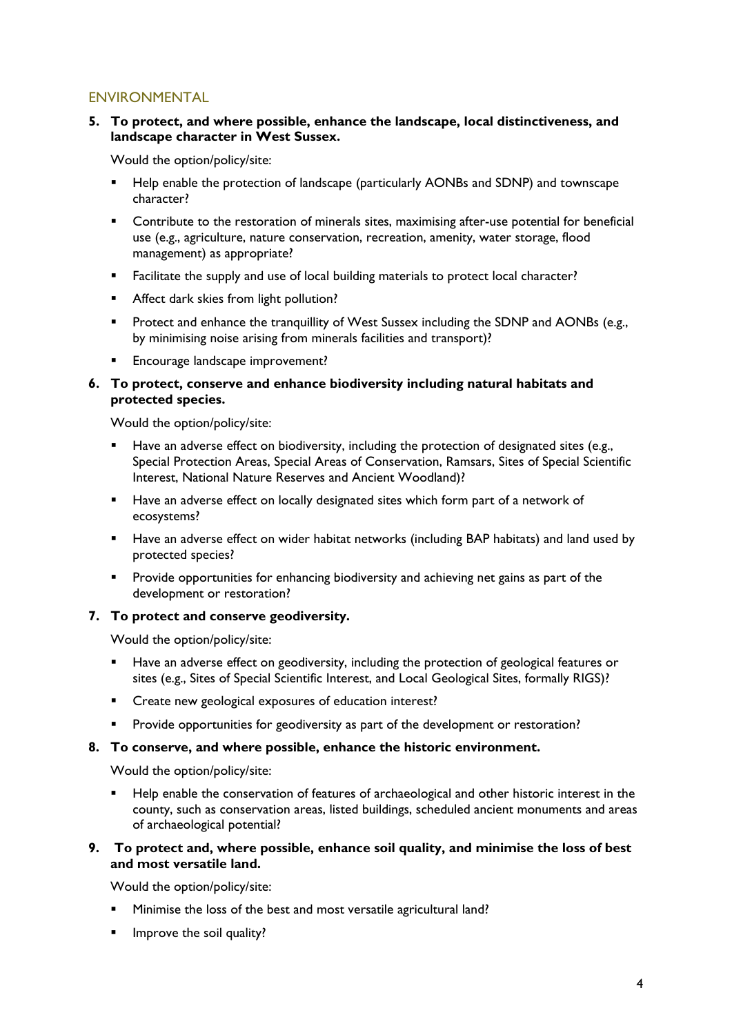#### <span id="page-3-0"></span>ENVIRONMENTAL

#### **5. To protect, and where possible, enhance the landscape, local distinctiveness, and landscape character in West Sussex.**

Would the option/policy/site:

- Help enable the protection of landscape (particularly AONBs and SDNP) and townscape character?
- **•** Contribute to the restoration of minerals sites, maximising after-use potential for beneficial use (e.g., agriculture, nature conservation, recreation, amenity, water storage, flood management) as appropriate?
- Facilitate the supply and use of local building materials to protect local character?
- **Affect dark skies from light pollution?**
- **Protect and enhance the tranquillity of West Sussex including the SDNP and AONBs (e.g.,** by minimising noise arising from minerals facilities and transport)?
- Encourage landscape improvement?

#### **6. To protect, conserve and enhance biodiversity including natural habitats and protected species.**

Would the option/policy/site:

- Have an adverse effect on biodiversity, including the protection of designated sites (e.g., Special Protection Areas, Special Areas of Conservation, Ramsars, Sites of Special Scientific Interest, National Nature Reserves and Ancient Woodland)?
- Have an adverse effect on locally designated sites which form part of a network of ecosystems?
- **Have an adverse effect on wider habitat networks (including BAP habitats) and land used by** protected species?
- **Provide opportunities for enhancing biodiversity and achieving net gains as part of the** development or restoration?

#### **7. To protect and conserve geodiversity.**

Would the option/policy/site:

- Have an adverse effect on geodiversity, including the protection of geological features or sites (e.g., Sites of Special Scientific Interest, and Local Geological Sites, formally RIGS)?
- **EXECR** Create new geological exposures of education interest?
- Provide opportunities for geodiversity as part of the development or restoration?

#### **8. To conserve, and where possible, enhance the historic environment.**

Would the option/policy/site:

 Help enable the conservation of features of archaeological and other historic interest in the county, such as conservation areas, listed buildings, scheduled ancient monuments and areas of archaeological potential?

#### **9. To protect and, where possible, enhance soil quality, and minimise the loss of best and most versatile land.**

Would the option/policy/site:

- **Minimise the loss of the best and most versatile agricultural land?**
- $\blacksquare$  Improve the soil quality?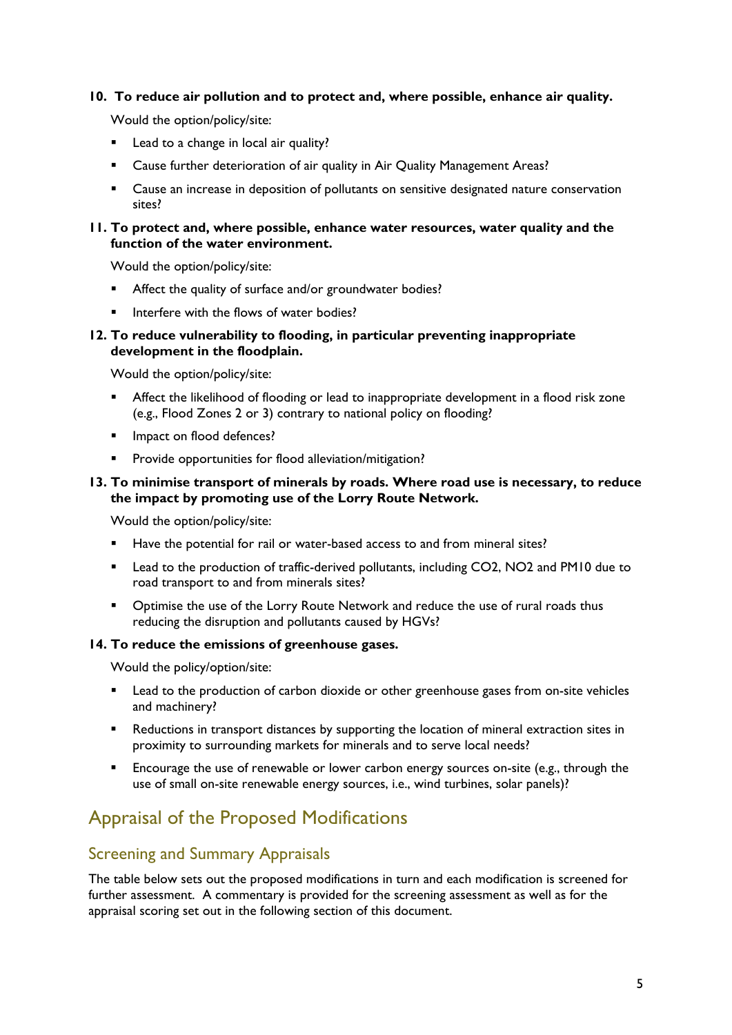#### **10. To reduce air pollution and to protect and, where possible, enhance air quality.**

Would the option/policy/site:

- **Lead to a change in local air quality?**
- Cause further deterioration of air quality in Air Quality Management Areas?
- **EXEC** 2 Cause an increase in deposition of pollutants on sensitive designated nature conservation sites?

#### **11. To protect and, where possible, enhance water resources, water quality and the function of the water environment.**

Would the option/policy/site:

- Affect the quality of surface and/or groundwater bodies?
- Interfere with the flows of water bodies?

#### **12. To reduce vulnerability to flooding, in particular preventing inappropriate development in the floodplain.**

Would the option/policy/site:

- Affect the likelihood of flooding or lead to inappropriate development in a flood risk zone (e.g., Flood Zones 2 or 3) contrary to national policy on flooding?
- **Impact on flood defences?**
- Provide opportunities for flood alleviation/mitigation?

#### **13. To minimise transport of minerals by roads. Where road use is necessary, to reduce the impact by promoting use of the Lorry Route Network.**

Would the option/policy/site:

- Have the potential for rail or water-based access to and from mineral sites?
- **EXECT** Lead to the production of traffic-derived pollutants, including CO2, NO2 and PM10 due to road transport to and from minerals sites?
- **•** Optimise the use of the Lorry Route Network and reduce the use of rural roads thus reducing the disruption and pollutants caused by HGVs?

#### **14. To reduce the emissions of greenhouse gases.**

Would the policy/option/site:

- **EXECT** Lead to the production of carbon dioxide or other greenhouse gases from on-site vehicles and machinery?
- **Reductions in transport distances by supporting the location of mineral extraction sites in** proximity to surrounding markets for minerals and to serve local needs?
- **Encourage the use of renewable or lower carbon energy sources on-site (e.g., through the** use of small on-site renewable energy sources, i.e., wind turbines, solar panels)?

## <span id="page-4-0"></span>Appraisal of the Proposed Modifications

### <span id="page-4-1"></span>Screening and Summary Appraisals

The table below sets out the proposed modifications in turn and each modification is screened for further assessment. A commentary is provided for the screening assessment as well as for the appraisal scoring set out in the following section of this document.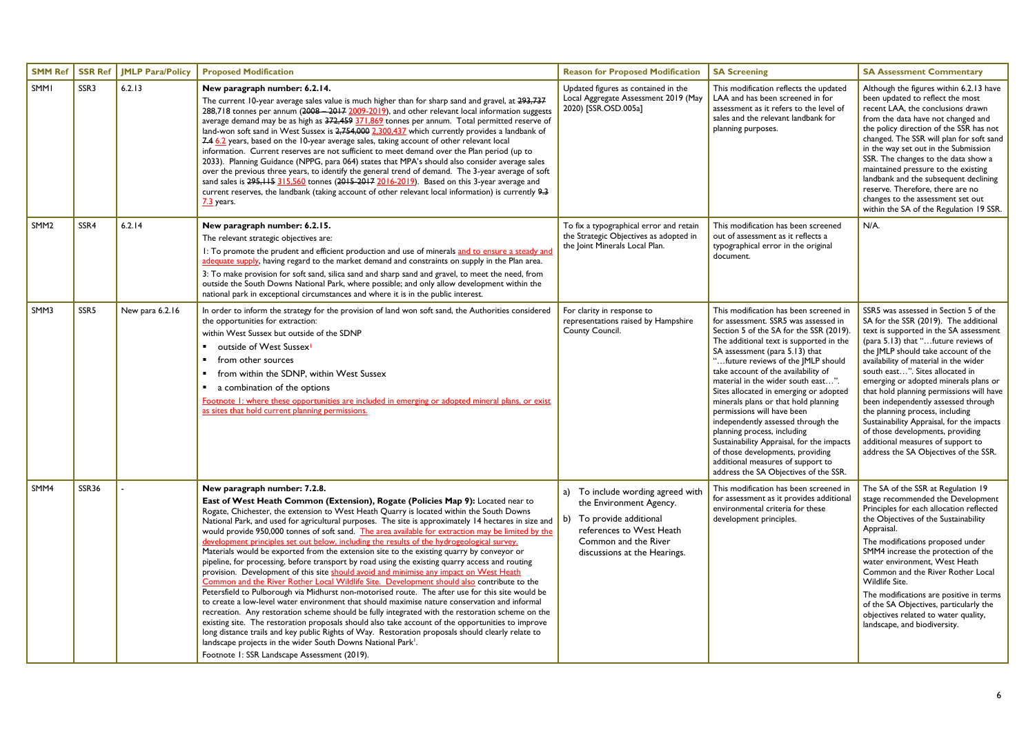| <b>SMM Ref</b>   | SSR Ref          | <b>JMLP Para/Policy</b> | <b>Proposed Modification</b>                                                                                                                                                                                                                                                                                                                                                                                                                                                                                                                                                                                                                                                                                                                                                                                                                                                                                                                                                                                                                                                                                                                                                                                                                                                                                                                                                                                                                                                                                                                                   | <b>Reason for Proposed Modification</b>                                                                                                                                      | <b>SA Screening</b>                                                                                                                                                                                                                                                                                                                                                                                                                                                                                                                                                                                                                                                           | <b>SA Assessment Commentary</b>                                                                                                                                                                                                                                                                                                                                                                                                                                                                                                                                                                                  |
|------------------|------------------|-------------------------|----------------------------------------------------------------------------------------------------------------------------------------------------------------------------------------------------------------------------------------------------------------------------------------------------------------------------------------------------------------------------------------------------------------------------------------------------------------------------------------------------------------------------------------------------------------------------------------------------------------------------------------------------------------------------------------------------------------------------------------------------------------------------------------------------------------------------------------------------------------------------------------------------------------------------------------------------------------------------------------------------------------------------------------------------------------------------------------------------------------------------------------------------------------------------------------------------------------------------------------------------------------------------------------------------------------------------------------------------------------------------------------------------------------------------------------------------------------------------------------------------------------------------------------------------------------|------------------------------------------------------------------------------------------------------------------------------------------------------------------------------|-------------------------------------------------------------------------------------------------------------------------------------------------------------------------------------------------------------------------------------------------------------------------------------------------------------------------------------------------------------------------------------------------------------------------------------------------------------------------------------------------------------------------------------------------------------------------------------------------------------------------------------------------------------------------------|------------------------------------------------------------------------------------------------------------------------------------------------------------------------------------------------------------------------------------------------------------------------------------------------------------------------------------------------------------------------------------------------------------------------------------------------------------------------------------------------------------------------------------------------------------------------------------------------------------------|
| SMMI             | SSR3             | 6.2.13                  | New paragraph number: 6.2.14.<br>The current 10-year average sales value is much higher than for sharp sand and gravel, at 293,737<br>288,718 tonnes per annum (2008 - 2017 2009-2019), and other relevant local information suggests<br>average demand may be as high as 372,459 371,869 tonnes per annum. Total permitted reserve of<br>land-won soft sand in West Sussex is 2,754,000 2.300.437 which currently provides a landbank of<br>7.4 6.2 years, based on the 10-year average sales, taking account of other relevant local<br>information. Current reserves are not sufficient to meet demand over the Plan period (up to<br>2033). Planning Guidance (NPPG, para 064) states that MPA's should also consider average sales<br>over the previous three years, to identify the general trend of demand. The 3-year average of soft<br>sand sales is 295, 115 315, 560 tonnes (2015-2017 2016-2019). Based on this 3-year average and<br>current reserves, the landbank (taking account of other relevant local information) is currently 9.3<br>7.3 years.                                                                                                                                                                                                                                                                                                                                                                                                                                                                                          | Updated figures as contained in the<br>Local Aggregate Assessment 2019 (May<br>2020) [SSR.OSD.005a]                                                                          | This modification reflects the updated<br>LAA and has been screened in for<br>assessment as it refers to the level of<br>sales and the relevant landbank for<br>planning purposes.                                                                                                                                                                                                                                                                                                                                                                                                                                                                                            | Although the figures within 6.2.13 have<br>been updated to reflect the most<br>recent LAA, the conclusions drawn<br>from the data have not changed and<br>the policy direction of the SSR has not<br>changed. The SSR will plan for soft sand<br>in the way set out in the Submission<br>SSR. The changes to the data show a<br>maintained pressure to the existing<br>landbank and the subsequent declining<br>reserve. Therefore, there are no<br>changes to the assessment set out<br>within the SA of the Regulation 19 SSR.                                                                                 |
| SMM <sub>2</sub> | SSR4             | 6.2.14                  | New paragraph number: 6.2.15.<br>The relevant strategic objectives are:<br>I: To promote the prudent and efficient production and use of minerals and to ensure a steady and<br>adequate supply, having regard to the market demand and constraints on supply in the Plan area.<br>3: To make provision for soft sand, silica sand and sharp sand and gravel, to meet the need, from<br>outside the South Downs National Park, where possible; and only allow development within the<br>national park in exceptional circumstances and where it is in the public interest.                                                                                                                                                                                                                                                                                                                                                                                                                                                                                                                                                                                                                                                                                                                                                                                                                                                                                                                                                                                     | To fix a typographical error and retain<br>the Strategic Objectives as adopted in<br>the Joint Minerals Local Plan.                                                          | This modification has been screened<br>out of assessment as it reflects a<br>typographical error in the original<br>document.                                                                                                                                                                                                                                                                                                                                                                                                                                                                                                                                                 | N/A.                                                                                                                                                                                                                                                                                                                                                                                                                                                                                                                                                                                                             |
| SMM3             | SSR <sub>5</sub> | New para 6.2.16         | In order to inform the strategy for the provision of land won soft sand, the Authorities considered<br>the opportunities for extraction:<br>within West Sussex but outside of the SDNP<br>outside of West Sussex <sup>1</sup><br>from other sources<br>$\blacksquare$<br>from within the SDNP, within West Sussex<br>$\blacksquare$<br>a combination of the options<br>Footnote I: where these opportunities are included in emerging or adopted mineral plans, or exist<br>as sites that hold current planning permissions.                                                                                                                                                                                                                                                                                                                                                                                                                                                                                                                                                                                                                                                                                                                                                                                                                                                                                                                                                                                                                                   | For clarity in response to<br>representations raised by Hampshire<br>County Council.                                                                                         | This modification has been screened in<br>for assessment. SSR5 was assessed in<br>Section 5 of the SA for the SSR (2019).<br>The additional text is supported in the<br>SA assessment (para 5.13) that<br>"future reviews of the JMLP should<br>take account of the availability of<br>material in the wider south east".<br>Sites allocated in emerging or adopted<br>minerals plans or that hold planning<br>permissions will have been<br>independently assessed through the<br>planning process, including<br>Sustainability Appraisal, for the impacts<br>of those developments, providing<br>additional measures of support to<br>address the SA Objectives of the SSR. | SSR5 was assessed in Section 5 of the<br>SA for the SSR (2019). The additional<br>text is supported in the SA assessment<br>(para 5.13) that "future reviews of<br>the JMLP should take account of the<br>availability of material in the wider<br>south east". Sites allocated in<br>emerging or adopted minerals plans or<br>that hold planning permissions will have<br>been independently assessed through<br>the planning process, including<br>Sustainability Appraisal, for the impacts<br>of those developments, providing<br>additional measures of support to<br>address the SA Objectives of the SSR. |
| SMM4             | <b>SSR36</b>     |                         | New paragraph number: 7.2.8.<br>East of West Heath Common (Extension), Rogate (Policies Map 9): Located near to<br>Rogate, Chichester, the extension to West Heath Quarry is located within the South Downs<br>National Park, and used for agricultural purposes. The site is approximately 14 hectares in size and<br>would provide 950,000 tonnes of soft sand. The area available for extraction may be limited by the<br>development principles set out below, including the results of the hydrogeological survey.<br>Materials would be exported from the extension site to the existing quarry by conveyor or<br>pipeline, for processing, before transport by road using the existing quarry access and routing<br>provision. Development of this site should avoid and minimise any impact on West Heath<br>Common and the River Rother Local Wildlife Site. Development should also contribute to the<br>Petersfield to Pulborough via Midhurst non-motorised route. The after use for this site would be<br>to create a low-level water environment that should maximise nature conservation and informal<br>recreation. Any restoration scheme should be fully integrated with the restoration scheme on the<br>existing site. The restoration proposals should also take account of the opportunities to improve<br>long distance trails and key public Rights of Way. Restoration proposals should clearly relate to<br>landscape projects in the wider South Downs National Park <sup>1</sup> .<br>Footnote 1: SSR Landscape Assessment (2019). | a) To include wording agreed with<br>the Environment Agency.<br>b) To provide additional<br>references to West Heath<br>Common and the River<br>discussions at the Hearings. | This modification has been screened in<br>for assessment as it provides additional<br>environmental criteria for these<br>development principles.                                                                                                                                                                                                                                                                                                                                                                                                                                                                                                                             | The SA of the SSR at Regulation 19<br>stage recommended the Development<br>Principles for each allocation reflected<br>the Objectives of the Sustainability<br>Appraisal.<br>The modifications proposed under<br>SMM4 increase the protection of the<br>water environment, West Heath<br>Common and the River Rother Local<br>Wildlife Site.<br>The modifications are positive in terms<br>of the SA Objectives, particularly the<br>objectives related to water quality,<br>landscape, and biodiversity.                                                                                                        |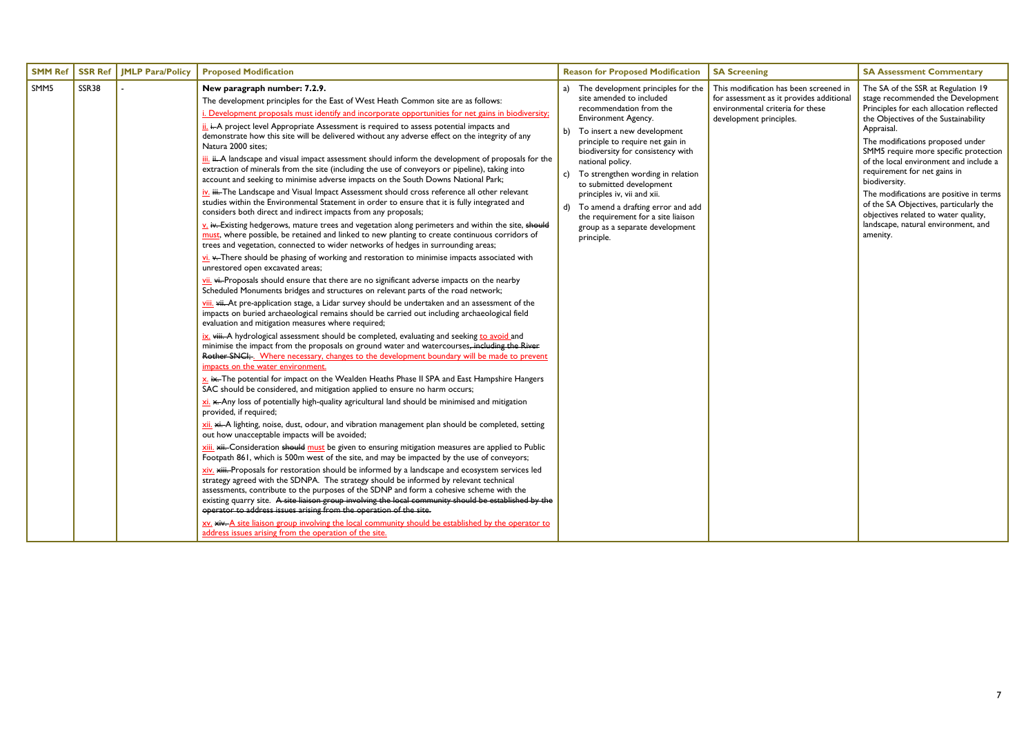| <b>SMM Ref</b> | <b>SSR Ref</b> | <b>JMLP Para/Policy</b> | <b>Proposed Modification</b>                                                                                                                                                                                                                                                                                                                                                                                                                                                                                                                                                                                                                                                                                                                                                                                                                                                                                                                                                                                                                                                                                                                                                                                                                                                                                                                                                                                                                                                                                                                                                                                                                                                                                                                                                                                                                                                                                                                                                                                                                                                                                                                                                                                                                                                                                                                                                                                                                                                                                                                                                                                                                                                                                                                                                                                                                                                                                                                                                                                                                                                                                                                                                                                                                                                                                                                                                                                                                                                                                                                                                                 |          | <b>Reason for Proposed Modification</b>                                                                                                                                                                                                                                                                                                                                                                                                                                        | <b>SA Screening</b>                                                                                                                               | <b>SA Assessment Commentary</b>                                                                                                                                                                                                                                                                                                                                                                                                                                                                                                   |
|----------------|----------------|-------------------------|----------------------------------------------------------------------------------------------------------------------------------------------------------------------------------------------------------------------------------------------------------------------------------------------------------------------------------------------------------------------------------------------------------------------------------------------------------------------------------------------------------------------------------------------------------------------------------------------------------------------------------------------------------------------------------------------------------------------------------------------------------------------------------------------------------------------------------------------------------------------------------------------------------------------------------------------------------------------------------------------------------------------------------------------------------------------------------------------------------------------------------------------------------------------------------------------------------------------------------------------------------------------------------------------------------------------------------------------------------------------------------------------------------------------------------------------------------------------------------------------------------------------------------------------------------------------------------------------------------------------------------------------------------------------------------------------------------------------------------------------------------------------------------------------------------------------------------------------------------------------------------------------------------------------------------------------------------------------------------------------------------------------------------------------------------------------------------------------------------------------------------------------------------------------------------------------------------------------------------------------------------------------------------------------------------------------------------------------------------------------------------------------------------------------------------------------------------------------------------------------------------------------------------------------------------------------------------------------------------------------------------------------------------------------------------------------------------------------------------------------------------------------------------------------------------------------------------------------------------------------------------------------------------------------------------------------------------------------------------------------------------------------------------------------------------------------------------------------------------------------------------------------------------------------------------------------------------------------------------------------------------------------------------------------------------------------------------------------------------------------------------------------------------------------------------------------------------------------------------------------------------------------------------------------------------------------------------------------|----------|--------------------------------------------------------------------------------------------------------------------------------------------------------------------------------------------------------------------------------------------------------------------------------------------------------------------------------------------------------------------------------------------------------------------------------------------------------------------------------|---------------------------------------------------------------------------------------------------------------------------------------------------|-----------------------------------------------------------------------------------------------------------------------------------------------------------------------------------------------------------------------------------------------------------------------------------------------------------------------------------------------------------------------------------------------------------------------------------------------------------------------------------------------------------------------------------|
| SMM5           | SSR38          |                         | New paragraph number: 7.2.9.<br>The development principles for the East of West Heath Common site are as follows:<br>i. Development proposals must identify and incorporate opportunities for net gains in biodiversity;<br>ii. i. A project level Appropriate Assessment is required to assess potential impacts and<br>demonstrate how this site will be delivered without any adverse effect on the integrity of any<br>Natura 2000 sites;<br>iii. ii. A landscape and visual impact assessment should inform the development of proposals for the<br>extraction of minerals from the site (including the use of conveyors or pipeline), taking into<br>account and seeking to minimise adverse impacts on the South Downs National Park;<br>$iv$ iii. The Landscape and Visual Impact Assessment should cross reference all other relevant<br>studies within the Environmental Statement in order to ensure that it is fully integrated and<br>considers both direct and indirect impacts from any proposals;<br>v. iv. Existing hedgerows, mature trees and vegetation along perimeters and within the site, should<br>must, where possible, be retained and linked to new planting to create continuous corridors of<br>trees and vegetation, connected to wider networks of hedges in surrounding areas;<br>$\underline{\mathsf{vi}}$ . $\leftarrow$ There should be phasing of working and restoration to minimise impacts associated with<br>unrestored open excavated areas;<br>vii. vi. Proposals should ensure that there are no significant adverse impacts on the nearby<br>Scheduled Monuments bridges and structures on relevant parts of the road network;<br>viii. vii. At pre-application stage, a Lidar survey should be undertaken and an assessment of the<br>impacts on buried archaeological remains should be carried out including archaeological field<br>evaluation and mitigation measures where required;<br>ix. viii. A hydrological assessment should be completed, evaluating and seeking to avoid and<br>minimise the impact from the proposals on ground water and watercourses, including the River<br>Rother SNCI; Where necessary, changes to the development boundary will be made to prevent<br>impacts on the water environment<br>x. ix. The potential for impact on the Wealden Heaths Phase II SPA and East Hampshire Hangers<br>SAC should be considered, and mitigation applied to ensure no harm occurs;<br>xi. x. Any loss of potentially high-quality agricultural land should be minimised and mitigation<br>provided, if required;<br>xii. xi. A lighting, noise, dust, odour, and vibration management plan should be completed, setting<br>out how unacceptable impacts will be avoided;<br>xiii. xii. Consideration should must be given to ensuring mitigation measures are applied to Public<br>Footpath 861, which is 500m west of the site, and may be impacted by the use of conveyors;<br>xiv. xiii. Proposals for restoration should be informed by a landscape and ecosystem services led<br>strategy agreed with the SDNPA. The strategy should be informed by relevant technical<br>assessments, contribute to the purposes of the SDNP and form a cohesive scheme with the<br>existing quarry site. A site liaison group involving the local community should be established by the<br>operator to address issues arising from the operation of the site.<br>xv. xiv. A site liaison group involving the local community should be established by the operator to<br>address issues arising from the operation of the site. | b)<br>C) | a) The development principles for the<br>site amended to included<br>recommendation from the<br>Environment Agency.<br>To insert a new development<br>principle to require net gain in<br>biodiversity for consistency with<br>national policy.<br>To strengthen wording in relation<br>to submitted development<br>principles iv, vii and xii.<br>d) To amend a drafting error and add<br>the requirement for a site liaison<br>group as a separate development<br>principle. | This modification has been screened in<br>for assessment as it provides additional<br>environmental criteria for these<br>development principles. | The SA of the SSR at Regulation 19<br>stage recommended the Development<br>Principles for each allocation reflected<br>the Objectives of the Sustainability<br>Appraisal.<br>The modifications proposed under<br>SMM5 require more specific protection<br>of the local environment and include a<br>requirement for net gains in<br>biodiversity.<br>The modifications are positive in terms<br>of the SA Objectives, particularly the<br>objectives related to water quality,<br>landscape, natural environment, and<br>amenity. |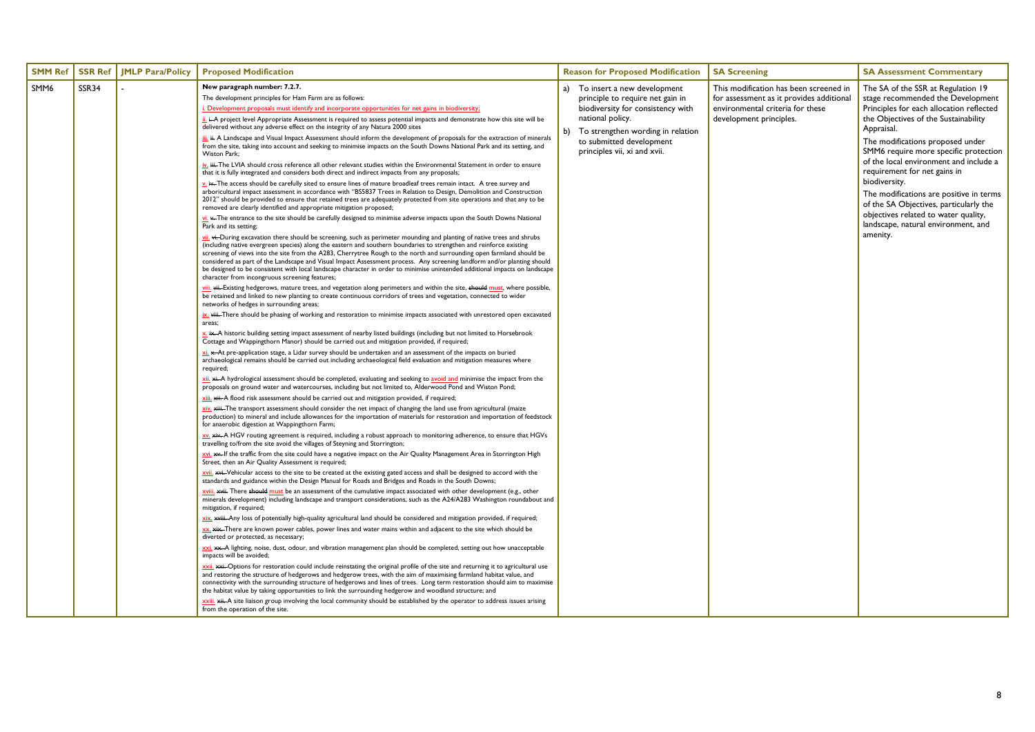| <b>SMM Ref</b> | <b>SSR Ref</b> | <b>JMLP Para/Policy</b> | <b>Proposed Modification</b>                                                                                                                                                                                                                                                                                                                                                                                                                                                                                                                                                                                                                                                                                                                                                                                                                                                                                                                                                                                                                                                                                                                                                                                                                                                                                                                                                                                                                                                                                                                                                                                                                                                                                                                                                                                                                                                                                                                                                                                                                                                                                                                                                                                                                                                                                                                                                                                                                                                                                                                                                                                                                                                                                                                                                                                                                                                                                                                                                                                                                                                                                                                                                                                                                                                                                                                                                                                                                                                                                                                                                                                                                                                                                                                                                                                                                                                                                                                                                                                                                                                                                                                                                                                                                                                                                                                                                                                                                                                                                                                                                                                                                                                                                                                                                                                                                                                                                                                                                                                                                                                                                                                                                                                                                                                                                                                                                                                                                                                                                                                                                                                                                                                                                                                                                        | <b>Reason for Proposed Modification</b>                                                                                                                                                                                            | <b>SA Screening</b>                                                                                                                               | <b>SA Assessment Commentary</b>                                                                                                                                                                                                                                                                                                                                                                                                                                                                                                   |
|----------------|----------------|-------------------------|-------------------------------------------------------------------------------------------------------------------------------------------------------------------------------------------------------------------------------------------------------------------------------------------------------------------------------------------------------------------------------------------------------------------------------------------------------------------------------------------------------------------------------------------------------------------------------------------------------------------------------------------------------------------------------------------------------------------------------------------------------------------------------------------------------------------------------------------------------------------------------------------------------------------------------------------------------------------------------------------------------------------------------------------------------------------------------------------------------------------------------------------------------------------------------------------------------------------------------------------------------------------------------------------------------------------------------------------------------------------------------------------------------------------------------------------------------------------------------------------------------------------------------------------------------------------------------------------------------------------------------------------------------------------------------------------------------------------------------------------------------------------------------------------------------------------------------------------------------------------------------------------------------------------------------------------------------------------------------------------------------------------------------------------------------------------------------------------------------------------------------------------------------------------------------------------------------------------------------------------------------------------------------------------------------------------------------------------------------------------------------------------------------------------------------------------------------------------------------------------------------------------------------------------------------------------------------------------------------------------------------------------------------------------------------------------------------------------------------------------------------------------------------------------------------------------------------------------------------------------------------------------------------------------------------------------------------------------------------------------------------------------------------------------------------------------------------------------------------------------------------------------------------------------------------------------------------------------------------------------------------------------------------------------------------------------------------------------------------------------------------------------------------------------------------------------------------------------------------------------------------------------------------------------------------------------------------------------------------------------------------------------------------------------------------------------------------------------------------------------------------------------------------------------------------------------------------------------------------------------------------------------------------------------------------------------------------------------------------------------------------------------------------------------------------------------------------------------------------------------------------------------------------------------------------------------------------------------------------------------------------------------------------------------------------------------------------------------------------------------------------------------------------------------------------------------------------------------------------------------------------------------------------------------------------------------------------------------------------------------------------------------------------------------------------------------------------------------------------------------------------------------------------------------------------------------------------------------------------------------------------------------------------------------------------------------------------------------------------------------------------------------------------------------------------------------------------------------------------------------------------------------------------------------------------------------------------------------------------------------------------------------------------------------------------------------------------------------------------------------------------------------------------------------------------------------------------------------------------------------------------------------------------------------------------------------------------------------------------------------------------------------------------------------------------------------------------------------------------------------------------------------------------------|------------------------------------------------------------------------------------------------------------------------------------------------------------------------------------------------------------------------------------|---------------------------------------------------------------------------------------------------------------------------------------------------|-----------------------------------------------------------------------------------------------------------------------------------------------------------------------------------------------------------------------------------------------------------------------------------------------------------------------------------------------------------------------------------------------------------------------------------------------------------------------------------------------------------------------------------|
| SMM6           | SSR34          |                         | New paragraph number: 7.2.7.<br>The development principles for Ham Farm are as follows:<br>i. Development proposals must identify and incorporate opportunities for net gains in biodiversity;<br>ii, i–A project level Appropriate Assessment is required to assess potential impacts and demonstrate how this site will be<br>delivered without any adverse effect on the integrity of any Natura 2000 sites<br>iii. # A Landscape and Visual Impact Assessment should inform the development of proposals for the extraction of minerals<br>from the site, taking into account and seeking to minimise impacts on the South Downs National Park and its setting, and<br>Wiston Park;<br>$\frac{iv}{r}$ . HH <sub>r</sub> The LVIA should cross reference all other relevant studies within the Environmental Statement in order to ensure<br>that it is fully integrated and considers both direct and indirect impacts from any proposals;<br>$\frac{V_1}{V_2}$ iv. The access should be carefully sited to ensure lines of mature broadleaf trees remain intact. A tree survey and<br>arboricultural impact assessment in accordance with "BS5837 Trees in Relation to Design, Demolition and Construction<br>2012" should be provided to ensure that retained trees are adequately protected from site operations and that any to be<br>removed are clearly identified and appropriate mitigation proposed;<br>vi. - The entrance to the site should be carefully designed to minimise adverse impacts upon the South Downs National<br>Park and its setting;<br>vii. vi. During excavation there should be screening, such as perimeter mounding and planting of native trees and shrubs<br>(including native evergreen species) along the eastern and southern boundaries to strengthen and reinforce existing<br>screening of views into the site from the A283, Cherrytree Rough to the north and surrounding open farmland should be<br>considered as part of the Landscape and Visual Impact Assessment process. Any screening landform and/or planting should<br>be designed to be consistent with local landscape character in order to minimise unintended additional impacts on landscape<br>character from incongruous screening features;<br>viii. vii. Existing hedgerows, mature trees, and vegetation along perimeters and within the site, should must, where possible,<br>be retained and linked to new planting to create continuous corridors of trees and vegetation, connected to wider<br>networks of hedges in surrounding areas;<br>ix. wiii. There should be phasing of working and restoration to minimise impacts associated with unrestored open excavated<br>areas;<br>x, i <del>x.</del> A historic building setting impact assessment of nearby listed buildings (including but not limited to Horsebrook<br>Cottage and Wappingthorn Manor) should be carried out and mitigation provided, if required;<br>$x_i$ , $x_i$ , At pre-application stage, a Lidar survey should be undertaken and an assessment of the impacts on buried<br>archaeological remains should be carried out including archaeological field evaluation and mitigation measures where<br>required;<br>xii. xii. A hydrological assessment should be completed, evaluating and seeking to avoid and minimise the impact from the<br>proposals on ground water and watercourses, including but not limited to, Alderwood Pond and Wiston Pond;<br>xiii. xii. A flood risk assessment should be carried out and mitigation provided, if required;<br>xiv. xiii. The transport assessment should consider the net impact of changing the land use from agricultural (maize<br>production) to mineral and include allowances for the importation of materials for restoration and importation of feedstock<br>for anaerobic digestion at Wappingthorn Farm;<br>xv. xiv. A HGV routing agreement is required, including a robust approach to monitoring adherence, to ensure that HGVs<br>travelling to/from the site avoid the villages of Steyning and Storrington;<br>Xvi, xx. If the traffic from the site could have a negative impact on the Air Quality Management Area in Storrington High<br>Street, then an Air Quality Assessment is required;<br>XVil. ***. Vehicular access to the site to be created at the existing gated access and shall be designed to accord with the<br>standards and guidance within the Design Manual for Roads and Bridges and Roads in the South Downs;<br>xviii. *** There should must be an assessment of the cumulative impact associated with other development (e.g., other<br>minerals development) including landscape and transport considerations, such as the A24/A283 Washington roundabout and<br>mitigation, if required;<br>XX. xix. There are known power cables, power lines and water mains within and adjacent to the site which should be<br>diverted or protected, as necessary;<br>xxi. **. A lighting, noise, dust, odour, and vibration management plan should be completed, setting out how unacceptable<br>impacts will be avoided;<br>xxii, wii. Options for restoration could include reinstating the original profile of the site and returning it to agricultural use<br>and restoring the structure of hedgerows and hedgerow trees, with the aim of maximising farmland habitat value, and<br>connectivity with the surrounding structure of hedgerows and lines of trees. Long term restoration should aim to maximise<br>the habitat value by taking opportunities to link the surrounding hedgerow and woodland structure; and<br>XXiii. xii. A site liaison group involving the local community should be established by the operator to address issues arising<br>from the operation of the site. | a) To insert a new development<br>principle to require net gain in<br>biodiversity for consistency with<br>national policy.<br>To strengthen wording in relation<br>b)<br>to submitted development<br>principles vii, xi and xvii. | This modification has been screened in<br>for assessment as it provides additional<br>environmental criteria for these<br>development principles. | The SA of the SSR at Regulation 19<br>stage recommended the Development<br>Principles for each allocation reflected<br>the Objectives of the Sustainability<br>Appraisal.<br>The modifications proposed under<br>SMM6 require more specific protection<br>of the local environment and include a<br>requirement for net gains in<br>biodiversity.<br>The modifications are positive in terms<br>of the SA Objectives, particularly the<br>objectives related to water quality,<br>landscape, natural environment, and<br>amenity. |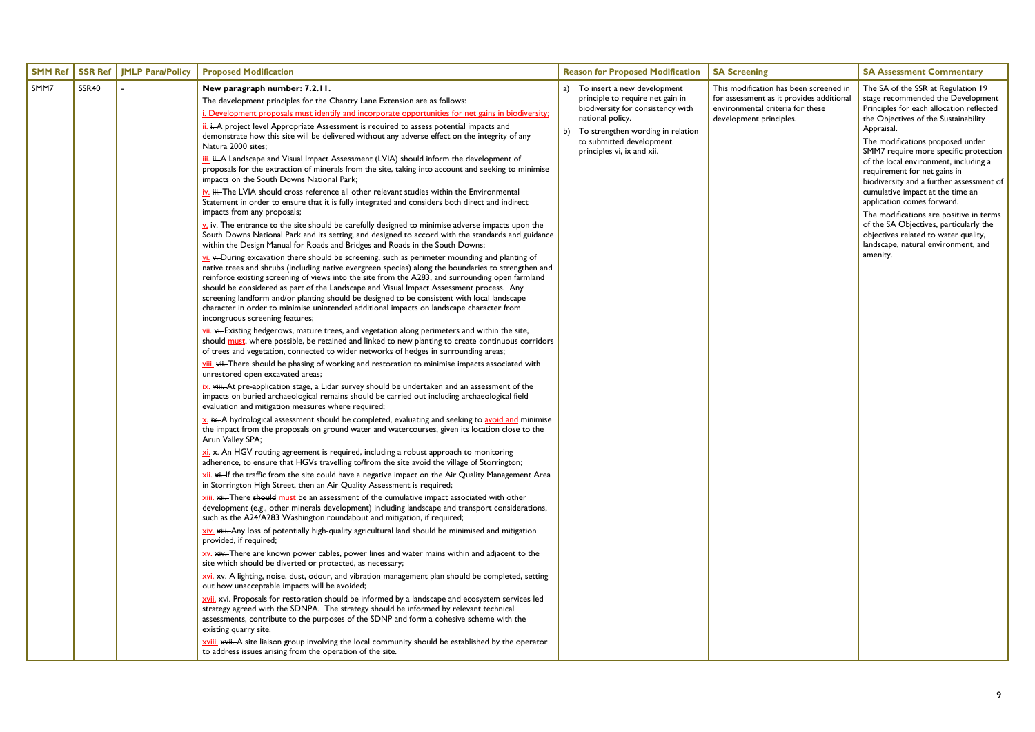| <b>SMM Ref</b> | <b>JMLP Para/Policy</b><br><b>SSR Ref</b> | <b>Proposed Modification</b>                                                                                                                                                                                                                                                                                                                                                                                                                                                                                                                                                                                                                                                                                                                                                                                                                                                                                                                                                                                                                                                                                                                                                                                                                                                                                                                                                                                                                                                                                                                                                                                                                                                                                                                                                                                                                                                                                                                                                                                                                                                                                                                                                                                                                                                                                                                                                                                                                                                                                                                                                                                                                                                                                                                                                                                                                                                                                                                                                                                                                                                                                                                                                                                                                                                                                                                                                                                                                                                                                                                                                                                                                                                                                                                                                                                                                                                                                                                                                                                                                                                                                                                                                                                                                                                                                                                                                                                                                              | <b>Reason for Proposed Modification</b>                                                                                                                                                                                       | <b>SA Screening</b>                                                                                                                               | <b>SA Assessment Commentary</b>                                                                                                                                                                                                                                                                                                                                                                                                                                                                                                                                                                                               |
|----------------|-------------------------------------------|-----------------------------------------------------------------------------------------------------------------------------------------------------------------------------------------------------------------------------------------------------------------------------------------------------------------------------------------------------------------------------------------------------------------------------------------------------------------------------------------------------------------------------------------------------------------------------------------------------------------------------------------------------------------------------------------------------------------------------------------------------------------------------------------------------------------------------------------------------------------------------------------------------------------------------------------------------------------------------------------------------------------------------------------------------------------------------------------------------------------------------------------------------------------------------------------------------------------------------------------------------------------------------------------------------------------------------------------------------------------------------------------------------------------------------------------------------------------------------------------------------------------------------------------------------------------------------------------------------------------------------------------------------------------------------------------------------------------------------------------------------------------------------------------------------------------------------------------------------------------------------------------------------------------------------------------------------------------------------------------------------------------------------------------------------------------------------------------------------------------------------------------------------------------------------------------------------------------------------------------------------------------------------------------------------------------------------------------------------------------------------------------------------------------------------------------------------------------------------------------------------------------------------------------------------------------------------------------------------------------------------------------------------------------------------------------------------------------------------------------------------------------------------------------------------------------------------------------------------------------------------------------------------------------------------------------------------------------------------------------------------------------------------------------------------------------------------------------------------------------------------------------------------------------------------------------------------------------------------------------------------------------------------------------------------------------------------------------------------------------------------------------------------------------------------------------------------------------------------------------------------------------------------------------------------------------------------------------------------------------------------------------------------------------------------------------------------------------------------------------------------------------------------------------------------------------------------------------------------------------------------------------------------------------------------------------------------------------------------------------------------------------------------------------------------------------------------------------------------------------------------------------------------------------------------------------------------------------------------------------------------------------------------------------------------------------------------------------------------------------------------------------------------------------------------------------------------------|-------------------------------------------------------------------------------------------------------------------------------------------------------------------------------------------------------------------------------|---------------------------------------------------------------------------------------------------------------------------------------------------|-------------------------------------------------------------------------------------------------------------------------------------------------------------------------------------------------------------------------------------------------------------------------------------------------------------------------------------------------------------------------------------------------------------------------------------------------------------------------------------------------------------------------------------------------------------------------------------------------------------------------------|
| SMM7           | <b>SSR40</b>                              | New paragraph number: 7.2.11.<br>The development principles for the Chantry Lane Extension are as follows:<br>i. Development proposals must identify and incorporate opportunities for net gains in biodiversity;<br>ii. i. A project level Appropriate Assessment is required to assess potential impacts and<br>demonstrate how this site will be delivered without any adverse effect on the integrity of any<br>Natura 2000 sites;<br>iii. ii. A Landscape and Visual Impact Assessment (LVIA) should inform the development of<br>proposals for the extraction of minerals from the site, taking into account and seeking to minimise<br>impacts on the South Downs National Park;<br>iv. iii. The LVIA should cross reference all other relevant studies within the Environmental<br>Statement in order to ensure that it is fully integrated and considers both direct and indirect<br>impacts from any proposals;<br>$\underline{v}$ . iv. The entrance to the site should be carefully designed to minimise adverse impacts upon the<br>South Downs National Park and its setting, and designed to accord with the standards and guidance<br>within the Design Manual for Roads and Bridges and Roads in the South Downs;<br>$\underline{\mathsf{vi}}$ . $\leftarrow$ During excavation there should be screening, such as perimeter mounding and planting of<br>native trees and shrubs (including native evergreen species) along the boundaries to strengthen and<br>reinforce existing screening of views into the site from the A283, and surrounding open farmland<br>should be considered as part of the Landscape and Visual Impact Assessment process. Any<br>screening landform and/or planting should be designed to be consistent with local landscape<br>character in order to minimise unintended additional impacts on landscape character from<br>incongruous screening features;<br>vii. wi-Existing hedgerows, mature trees, and vegetation along perimeters and within the site,<br>should must, where possible, be retained and linked to new planting to create continuous corridors<br>of trees and vegetation, connected to wider networks of hedges in surrounding areas;<br>viii. vii. There should be phasing of working and restoration to minimise impacts associated with<br>unrestored open excavated areas;<br>ix. viii. At pre-application stage, a Lidar survey should be undertaken and an assessment of the<br>impacts on buried archaeological remains should be carried out including archaeological field<br>evaluation and mitigation measures where required;<br>x. ix. A hydrological assessment should be completed, evaluating and seeking to avoid and minimise<br>the impact from the proposals on ground water and watercourses, given its location close to the<br>Arun Valley SPA;<br>xi. x. An HGV routing agreement is required, including a robust approach to monitoring<br>adherence, to ensure that HGVs travelling to/from the site avoid the village of Storrington;<br>Xii. xi-If the traffic from the site could have a negative impact on the Air Quality Management Area<br>in Storrington High Street, then an Air Quality Assessment is required;<br>xiii. xii. There should must be an assessment of the cumulative impact associated with other<br>development (e.g., other minerals development) including landscape and transport considerations,<br>such as the A24/A283 Washington roundabout and mitigation, if required;<br>xiv. xiii. Any loss of potentially high-quality agricultural land should be minimised and mitigation<br>provided, if required;<br>XV. xiv. There are known power cables, power lines and water mains within and adjacent to the<br>site which should be diverted or protected, as necessary;<br>xvi. **. A lighting, noise, dust, odour, and vibration management plan should be completed, setting<br>out how unacceptable impacts will be avoided;<br>xvii. ***. Proposals for restoration should be informed by a landscape and ecosystem services led<br>strategy agreed with the SDNPA. The strategy should be informed by relevant technical<br>assessments, contribute to the purposes of the SDNP and form a cohesive scheme with the<br>existing quarry site.<br>xviii. *** it. A site liaison group involving the local community should be established by the operator<br>to address issues arising from the operation of the site. | To insert a new development<br>principle to require net gain in<br>biodiversity for consistency with<br>national policy.<br>To strengthen wording in relation<br>b)<br>to submitted development<br>principles vi, ix and xii. | This modification has been screened in<br>for assessment as it provides additional<br>environmental criteria for these<br>development principles. | The SA of the SSR at Regulation 19<br>stage recommended the Development<br>Principles for each allocation reflected<br>the Objectives of the Sustainability<br>Appraisal.<br>The modifications proposed under<br>SMM7 require more specific protection<br>of the local environment, including a<br>requirement for net gains in<br>biodiversity and a further assessment of<br>cumulative impact at the time an<br>application comes forward.<br>The modifications are positive in terms<br>of the SA Objectives, particularly the<br>objectives related to water quality,<br>landscape, natural environment, and<br>amenity. |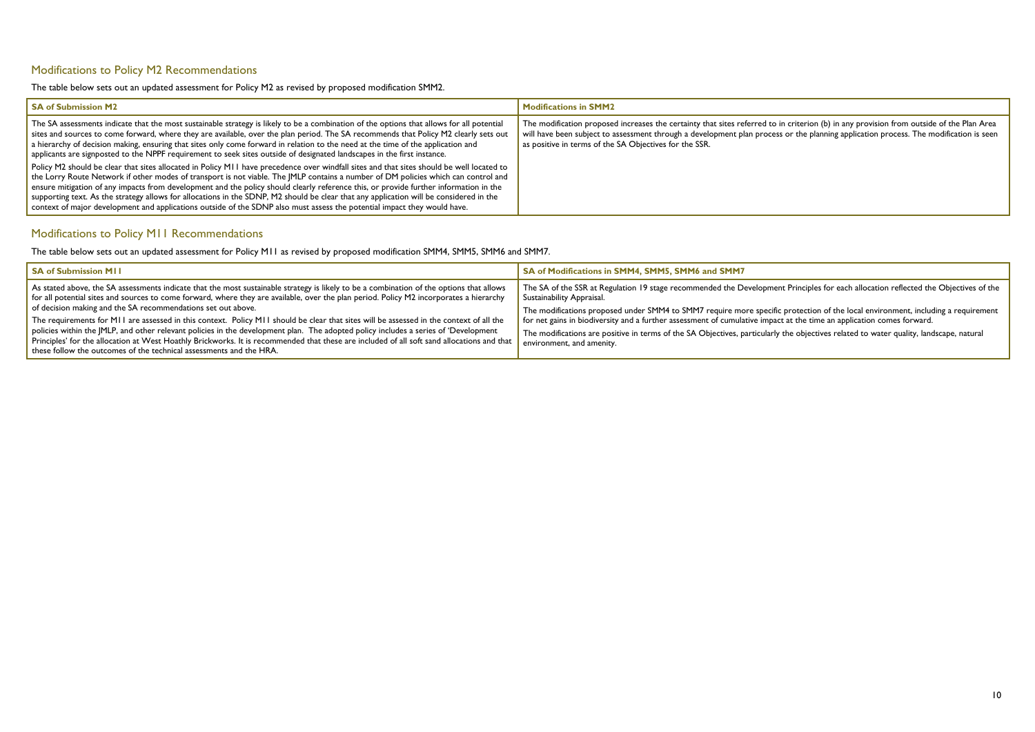### <span id="page-9-0"></span>Modifications to Policy M2 Recommendations

The table below sets out an updated assessment for Policy M2 as revised by proposed modification SMM2.

| <b>SA of Submission M2</b>                                                                                                                                                                                                                                                                                                                                                                                                                                                                                                                                                                                                                                                                     | Modifications in SMM2                                                                                                                                                                                                                                                                                                                       |
|------------------------------------------------------------------------------------------------------------------------------------------------------------------------------------------------------------------------------------------------------------------------------------------------------------------------------------------------------------------------------------------------------------------------------------------------------------------------------------------------------------------------------------------------------------------------------------------------------------------------------------------------------------------------------------------------|---------------------------------------------------------------------------------------------------------------------------------------------------------------------------------------------------------------------------------------------------------------------------------------------------------------------------------------------|
| The SA assessments indicate that the most sustainable strategy is likely to be a combination of the options that allows for all potential<br>sites and sources to come forward, where they are available, over the plan period. The SA recommends that Policy M2 clearly sets out<br>a hierarchy of decision making, ensuring that sites only come forward in relation to the need at the time of the application and<br>applicants are signposted to the NPPF requirement to seek sites outside of designated landscapes in the first instance.                                                                                                                                               | The modification proposed increases the certainty that sites referred to in criterion (b) in any provision from outside of the Plan Area<br>will have been subject to assessment through a development plan process or the planning application process. The modification is seen<br>as positive in terms of the SA Objectives for the SSR. |
| Policy M2 should be clear that sites allocated in Policy M11 have precedence over windfall sites and that sites should be well located to<br>the Lorry Route Network if other modes of transport is not viable. The JMLP contains a number of DM policies which can control and<br>ensure mitigation of any impacts from development and the policy should clearly reference this, or provide further information in the<br>supporting text. As the strategy allows for allocations in the SDNP, M2 should be clear that any application will be considered in the<br>context of major development and applications outside of the SDNP also must assess the potential impact they would have. |                                                                                                                                                                                                                                                                                                                                             |

### <span id="page-9-1"></span>Modifications to Policy M11 Recommendations

The table below sets out an updated assessment for Policy M11 as revised by proposed modification SMM4, SMM5, SMM6 and SMM7.

| <b>SA of Submission MII</b>                                                                                                                                                                                                                                                                                                                                                                                                                                                                    | SA of Modifications in SMM4, SMM5, SMM6 and SMM7                                                                                                                                                                                                    |
|------------------------------------------------------------------------------------------------------------------------------------------------------------------------------------------------------------------------------------------------------------------------------------------------------------------------------------------------------------------------------------------------------------------------------------------------------------------------------------------------|-----------------------------------------------------------------------------------------------------------------------------------------------------------------------------------------------------------------------------------------------------|
| As stated above, the SA assessments indicate that the most sustainable strategy is likely to be a combination of the options that allows<br>for all potential sites and sources to come forward, where they are available, over the plan period. Policy M2 incorporates a hierarchy<br>of decision making and the SA recommendations set out above.<br>The requirements for M11 are assessed in this context. Policy M11 should be clear that sites will be assessed in the context of all the | The SA of the SSR at Regulation 19 stage recommended the Developme<br>Sustainability Appraisal.<br>The modifications proposed under SMM4 to SMM7 require more specifi<br>for net gains in biodiversity and a further assessment of cumulative impar |
| policies within the JMLP, and other relevant policies in the development plan. The adopted policy includes a series of 'Development<br>Principles' for the allocation at West Hoathly Brickworks. It is recommended that these are included of all soft sand allocations and that<br>these follow the outcomes of the technical assessments and the HRA.                                                                                                                                       | The modifications are positive in terms of the SA Objectives, particularly<br>environment, and amenity.                                                                                                                                             |

ent Principles for each allocation reflected the Objectives of the

fic protection of the local environment, including a requirement act at the time an application comes forward.

y the objectives related to water quality, landscape, natural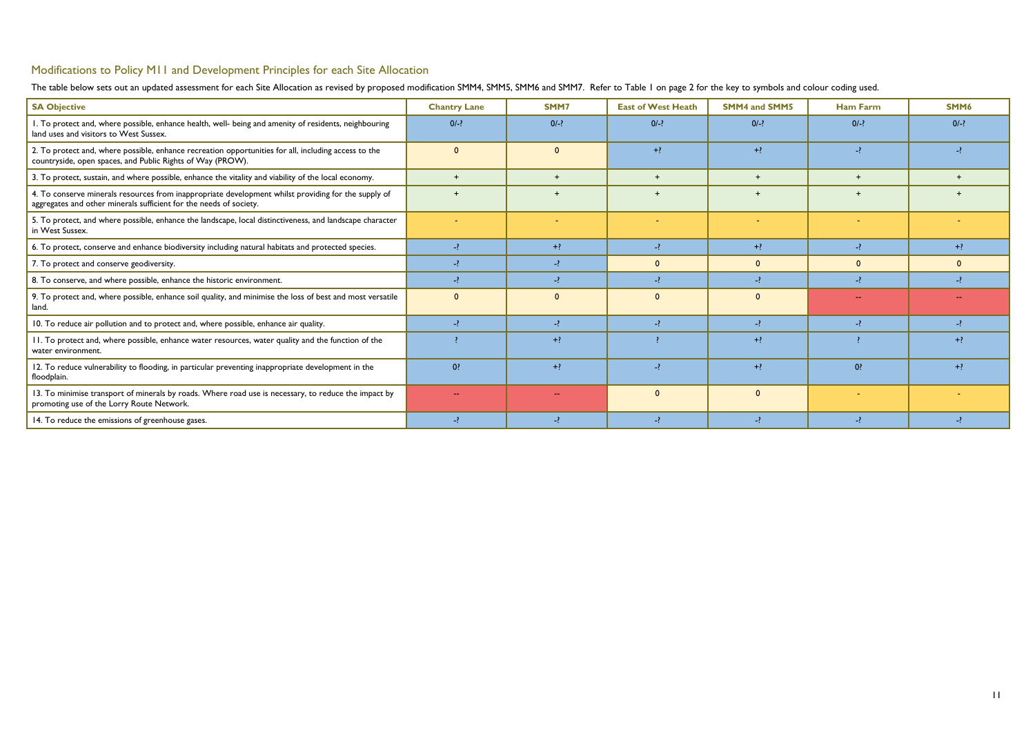## <span id="page-10-0"></span>Modifications to Policy M11 and Development Principles for each Site Allocation

The table below sets out an updated assessment for each Site Allocation as revised by proposed modification SMM4, SMM5, SMM6 and SMM7. Refer to [Table 1](#page-1-2) on page [2](#page-1-2) for the key to symbols and colour coding used.

| <b>SA Objective</b>                                                                                                                                                       | <b>Chantry Lane</b> | SMM7           | <b>East of West Heath</b> | <b>SMM4 and SMM5</b>     | <b>Ham Farm</b> | SMM6   |
|---------------------------------------------------------------------------------------------------------------------------------------------------------------------------|---------------------|----------------|---------------------------|--------------------------|-----------------|--------|
| I. To protect and, where possible, enhance health, well- being and amenity of residents, neighbouring<br>land uses and visitors to West Sussex.                           | $0/-?$              | $0/-?$         | $0/-?$                    | $0/-?$                   | $0/-?$          | $0/-?$ |
| 2. To protect and, where possible, enhance recreation opportunities for all, including access to the<br>countryside, open spaces, and Public Rights of Way (PROW).        | $\mathbf{0}$        | $\mathbf{0}$   | $+?$                      | $+2$                     | $-?$            |        |
| 3. To protect, sustain, and where possible, enhance the vitality and viability of the local economy.                                                                      | $+$                 | $+$            | $+$                       | $+$                      | $+$             | $+$    |
| 4. To conserve minerals resources from inappropriate development whilst providing for the supply of<br>aggregates and other minerals sufficient for the needs of society. | $+$                 |                |                           | $+$                      |                 |        |
| 5. To protect, and where possible, enhance the landscape, local distinctiveness, and landscape character<br>in West Sussex.                                               |                     |                |                           |                          |                 |        |
| 6. To protect, conserve and enhance biodiversity including natural habitats and protected species.                                                                        | $\rightarrow$       | $+?$           | $-2$                      | $+?$                     | $-?$            | $+?$   |
| 7. To protect and conserve geodiversity.                                                                                                                                  |                     | $-?$           | $\mathbf{0}$              | $\mathbf{0}$             | $\mathbf{0}$    |        |
| 8. To conserve, and where possible, enhance the historic environment.                                                                                                     |                     | $\rightarrow$  | $\overline{\phantom{a}}$  | $\overline{\phantom{a}}$ | $-2$            |        |
| 9. To protect and, where possible, enhance soil quality, and minimise the loss of best and most versatile<br>land.                                                        | $\Omega$            | $\mathbf{0}$   | $\Omega$                  | $\Omega$                 | $\sim$ $\sim$   |        |
| 10. To reduce air pollution and to protect and, where possible, enhance air quality.                                                                                      |                     | $-2$           | $-2$                      | -2                       | $-?$            |        |
| 11. To protect and, where possible, enhance water resources, water quality and the function of the<br>water environment.                                                  |                     | $+?$           |                           | $+2$                     |                 | $+?$   |
| 12. To reduce vulnerability to flooding, in particular preventing inappropriate development in the<br>floodplain.                                                         | $0$ ?               | $+?$           | $\overline{\phantom{a}}$  | $+2$                     | 0?              | $+2$   |
| 13. To minimise transport of minerals by roads. Where road use is necessary, to reduce the impact by<br>promoting use of the Lorry Route Network.                         | $\sim$              | <b>Service</b> | $\Omega$                  | $\Omega$                 |                 |        |
| 14. To reduce the emissions of greenhouse gases.                                                                                                                          |                     | $-2$           |                           | $\rightarrow$            |                 |        |